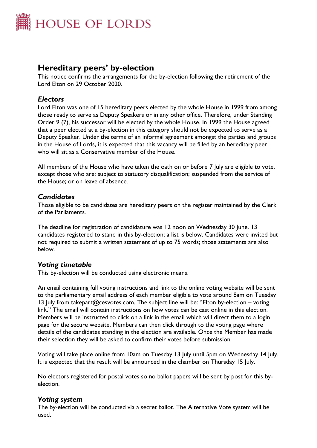

# **Hereditary peers' by-election**

This notice confirms the arrangements for the by-election following the retirement of the Lord Elton on 29 October 2020.

# *Electors*

Lord Elton was one of 15 hereditary peers elected by the whole House in 1999 from among those ready to serve as Deputy Speakers or in any other office. Therefore, under Standing Order 9 (7), his successor will be elected by the whole House. In 1999 the House agreed that a peer elected at a by-election in this category should not be expected to serve as a Deputy Speaker. Under the terms of an informal agreement amongst the parties and groups in the House of Lords, it is expected that this vacancy will be filled by an hereditary peer who will sit as a Conservative member of the House.

All members of the House who have taken the oath on or before 7 July are eligible to vote, except those who are: subject to statutory disqualification; suspended from the service of the House; or on leave of absence.

# *Candidates*

Those eligible to be candidates are hereditary peers on the register maintained by the Clerk of the Parliaments.

The deadline for registration of candidature was 12 noon on Wednesday 30 June. 13 candidates registered to stand in this by-election; a list is below. Candidates were invited but not required to submit a written statement of up to 75 words; those statements are also below.

# *Voting timetable*

This by-election will be conducted using electronic means.

An email containing full voting instructions and link to the online voting website will be sent to the parliamentary email address of each member eligible to vote around 8am on Tuesday 13 July from takepart@cesvotes.com. The subject line will be: "Elton by-election – voting link." The email will contain instructions on how votes can be cast online in this election. Members will be instructed to click on a link in the email which will direct them to a login page for the secure website. Members can then click through to the voting page where details of the candidates standing in the election are available. Once the Member has made their selection they will be asked to confirm their votes before submission.

Voting will take place online from 10am on Tuesday 13 July until 5pm on Wednesday 14 July. It is expected that the result will be announced in the chamber on Thursday 15 July.

No electors registered for postal votes so no ballot papers will be sent by post for this byelection.

# *Voting system*

The by-election will be conducted via a secret ballot. The Alternative Vote system will be used.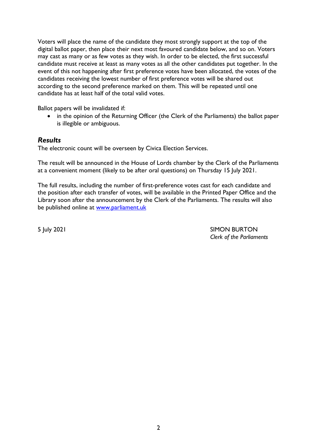Voters will place the name of the candidate they most strongly support at the top of the digital ballot paper, then place their next most favoured candidate below, and so on. Voters may cast as many or as few votes as they wish. In order to be elected, the first successful candidate must receive at least as many votes as all the other candidates put together. In the event of this not happening after first preference votes have been allocated, the votes of the candidates receiving the lowest number of first preference votes will be shared out according to the second preference marked on them. This will be repeated until one candidate has at least half of the total valid votes.

Ballot papers will be invalidated if:

• in the opinion of the Returning Officer (the Clerk of the Parliaments) the ballot paper is illegible or ambiguous.

# *Results*

The electronic count will be overseen by Civica Election Services.

The result will be announced in the House of Lords chamber by the Clerk of the Parliaments at a convenient moment (likely to be after oral questions) on Thursday 15 July 2021.

The full results, including the number of first-preference votes cast for each candidate and the position after each transfer of votes, will be available in the Printed Paper Office and the Library soon after the announcement by the Clerk of the Parliaments. The results will also be published online at [www.parliament.uk](http://www.parliament.uk/)

5 July 2021 SIMON BURTON *Clerk of the Parliaments*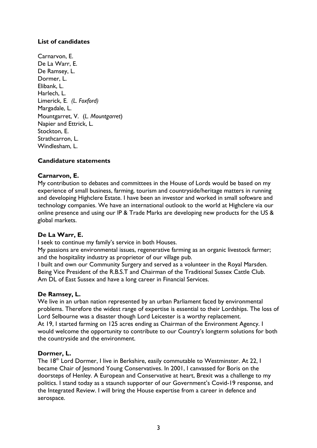# **List of candidates**

Carnarvon, E. De La Warr, E. De Ramsey, L. Dormer, L. Elibank, L. Harlech, L. Limerick, E*. (L. Foxford)* Margadale, L. Mountgarret, V. (*L. Mountgarret*) Napier and Ettrick, L. Stockton, E. Strathcarron, L. Windlesham, L.

# **Candidature statements**

# **Carnarvon, E.**

My contribution to debates and committees in the House of Lords would be based on my experience of small business, farming, tourism and countryside/heritage matters in running and developing Highclere Estate. I have been an investor and worked in small software and technology companies. We have an international outlook to the world at Highclere via our online presence and using our lP & Trade Marks are developing new products for the US & global markets.

# **De La Warr, E.**

I seek to continue my family's service in both Houses.

My passions are environmental issues, regenerative farming as an organic livestock farmer; and the hospitality industry as proprietor of our village pub.

I built and own our Community Surgery and served as a volunteer in the Royal Marsden. Being Vice President of the R.B.S.T and Chairman of the Traditional Sussex Cattle Club. Am DL of East Sussex and have a long career in Financial Services.

# **De Ramsey, L.**

We live in an urban nation represented by an urban Parliament faced by environmental problems. Therefore the widest range of expertise is essential to their Lordships. The loss of Lord Selbourne was a disaster though Lord Leicester is a worthy replacement. At 19, I started farming on 125 acres ending as Chairman of the Environment Agency. I would welcome the opportunity to contribute to our Country's longterm solutions for both the countryside and the environment.

#### **Dormer, L.**

The 18<sup>th</sup> Lord Dormer, I live in Berkshire, easily commutable to Westminster. At 22, I became Chair of Jesmond Young Conservatives. In 2001, I canvassed for Boris on the doorsteps of Henley. A European and Conservative at heart, Brexit was a challenge to my politics. I stand today as a staunch supporter of our Government's Covid-19 response, and the Integrated Review. I will bring the House expertise from a career in defence and aerospace.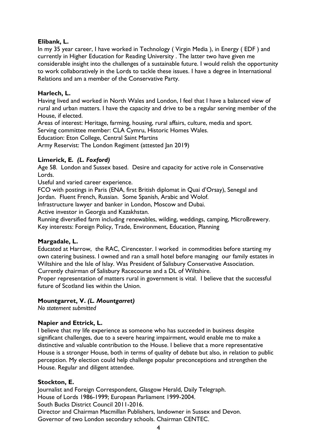# **Elibank, L.**

In my 35 year career, I have worked in Technology ( Virgin Media ), in Energy ( EDF ) and currently in Higher Education for Reading University . The latter two have given me considerable insight into the challenges of a sustainable future. I would relish the opportunity to work collaboratively in the Lords to tackle these issues. I have a degree in International Relations and am a member of the Conservative Party.

# **Harlech, L.**

Having lived and worked in North Wales and London, I feel that I have a balanced view of rural and urban matters. I have the capacity and drive to be a regular serving member of the House, if elected.

Areas of interest: Heritage, farming, housing, rural affairs, culture, media and sport. Serving committee member: CLA Cymru, Historic Homes Wales.

Education: Eton College, Central Saint Martins

Army Reservist: The London Regiment (attested Jan 2019)

# **Limerick, E***. (L. Foxford)*

Age 58. London and Sussex based. Desire and capacity for active role in Conservative Lords.

Useful and varied career experience.

FCO with postings in Paris (ENA, first British diplomat in Quai d'Orsay), Senegal and Jordan. Fluent French, Russian. Some Spanish, Arabic and Wolof.

Infrastructure lawyer and banker in London, Moscow and Dubai.

Active investor in Georgia and Kazakhstan.

Running diversified farm including renewables, wilding, weddings, camping, MicroBrewery. Key interests: Foreign Policy, Trade, Environment, Education, Planning

# **Margadale, L.**

Educated at Harrow, the RAC, Cirencester. I worked in commodities before starting my own catering business. I owned and ran a small hotel before managing our family estates in Wiltshire and the Isle of Islay. Was President of Salisbury Conservative Association.

Currently chairman of Salisbury Racecourse and a DL of Wiltshire.

Proper representation of matters rural in government is vital. I believe that the successful future of Scotland lies within the Union.

# **Mountgarret, V.** *(L. Mountgarret)*

*No statement submitted*

# **Napier and Ettrick, L.**

I believe that my life experience as someone who has succeeded in business despite significant challenges, due to a severe hearing impairment, would enable me to make a distinctive and valuable contribution to the House. I believe that a more representative House is a stronger House, both in terms of quality of debate but also, in relation to public perception. My election could help challenge popular preconceptions and strengthen the House. Regular and diligent attendee.

# **Stockton, E.**

Journalist and Foreign Correspondent, Glasgow Herald, Daily Telegraph. House of Lords 1986-1999; European Parliament 1999-2004. South Bucks District Council 2011-2016. Director and Chairman Macmillan Publishers, landowner in Sussex and Devon. Governor of two London secondary schools. Chairman CENTEC.